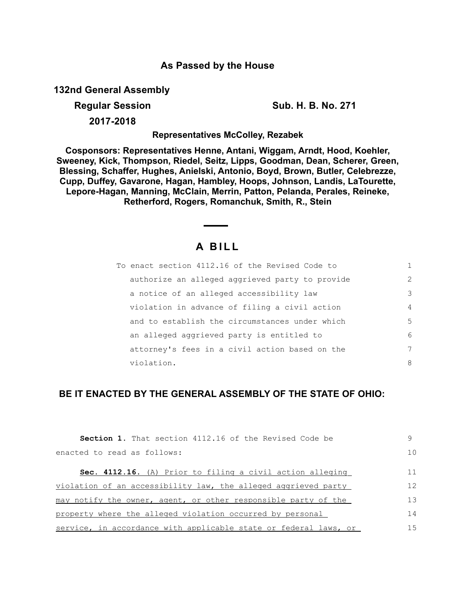## **As Passed by the House**

**132nd General Assembly**

**Regular Session Sub. H. B. No. 271**

**2017-2018**

**Representatives McColley, Rezabek**

**Cosponsors: Representatives Henne, Antani, Wiggam, Arndt, Hood, Koehler, Sweeney, Kick, Thompson, Riedel, Seitz, Lipps, Goodman, Dean, Scherer, Green, Blessing, Schaffer, Hughes, Anielski, Antonio, Boyd, Brown, Butler, Celebrezze, Cupp, Duffey, Gavarone, Hagan, Hambley, Hoops, Johnson, Landis, LaTourette, Lepore-Hagan, Manning, McClain, Merrin, Patton, Pelanda, Perales, Reineke, Retherford, Rogers, Romanchuk, Smith, R., Stein**

## **A B I L L**

| To enact section 4112.16 of the Revised Code to |                |
|-------------------------------------------------|----------------|
| authorize an alleged aggrieved party to provide | $\mathcal{L}$  |
| a notice of an alleged accessibility law        | 3              |
| violation in advance of filing a civil action   | $\overline{4}$ |
| and to establish the circumstances under which  | 5              |
| an alleged aggrieved party is entitled to       | 6              |
| attorney's fees in a civil action based on the  | 7              |
| violation.                                      | 8              |

## **BE IT ENACTED BY THE GENERAL ASSEMBLY OF THE STATE OF OHIO:**

| <b>Section 1.</b> That section 4112.16 of the Revised Code be    | 9              |
|------------------------------------------------------------------|----------------|
| enacted to read as follows:                                      | 1 <sub>0</sub> |
| Sec. 4112.16. (A) Prior to filing a civil action alleging        | 11             |
| violation of an accessibility law, the alleged aggrieved party   | 12             |
| may notify the owner, agent, or other responsible party of the   | 13             |
| property where the alleged violation occurred by personal        | 14             |
| service, in accordance with applicable state or federal laws, or | 15             |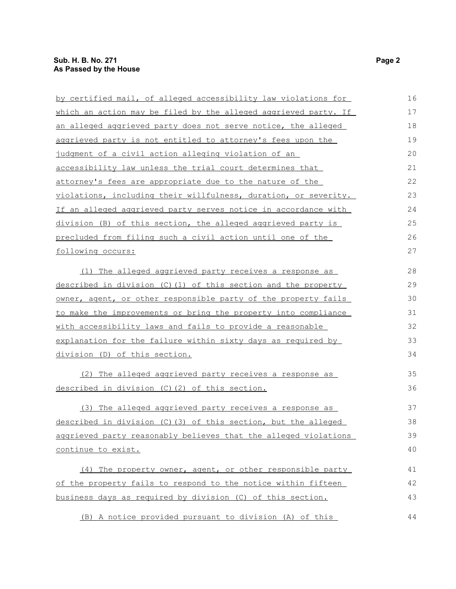| by certified mail, of alleged accessibility law violations for  | 16 |
|-----------------------------------------------------------------|----|
| which an action may be filed by the alleged aggrieved party. If | 17 |
| an alleged aggrieved party does not serve notice, the alleged   | 18 |
| aggrieved party is not entitled to attorney's fees upon the     | 19 |
| judgment of a civil action alleging violation of an             | 20 |
| accessibility law unless the trial court determines that        | 21 |
| attorney's fees are appropriate due to the nature of the        | 22 |
| violations, including their willfulness, duration, or severity. | 23 |
| If an alleged aggrieved party serves notice in accordance with  | 24 |
| division (B) of this section, the alleged aggrieved party is    | 25 |
| precluded from filing such a civil action until one of the      | 26 |
| following occurs:                                               | 27 |
| (1) The alleged aggrieved party receives a response as          | 28 |
| described in division (C)(1) of this section and the property   | 29 |
| owner, agent, or other responsible party of the property fails  | 30 |
| to make the improvements or bring the property into compliance  | 31 |
| with accessibility laws and fails to provide a reasonable       | 32 |
| explanation for the failure within sixty days as required by    | 33 |
| division (D) of this section.                                   | 34 |
| (2) The alleged aggrieved party receives a response as          | 35 |
| described in division (C) (2) of this section.                  | 36 |
| (3) The alleged aggrieved party receives a response as          | 37 |
| described in division (C) (3) of this section, but the alleged  | 38 |
| aggrieved party reasonably believes that the alleged violations | 39 |
| continue to exist.                                              | 40 |
| (4) The property owner, agent, or other responsible party       | 41 |
| of the property fails to respond to the notice within fifteen   | 42 |
| business days as required by division (C) of this section.      | 43 |
| (B) A notice provided pursuant to division (A) of this          | 44 |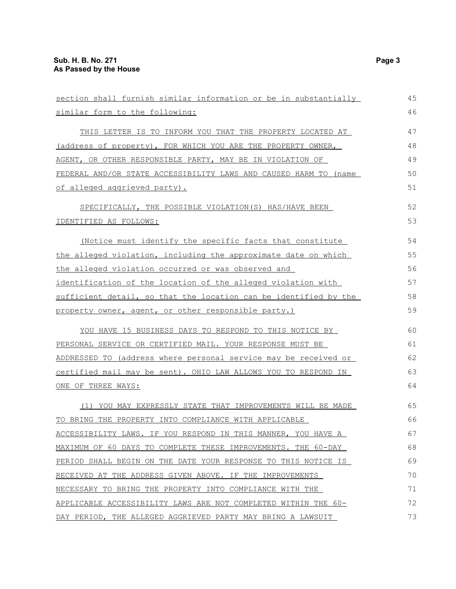| section shall furnish similar information or be in substantially | 45 |
|------------------------------------------------------------------|----|
| similar form to the following:                                   | 46 |
| THIS LETTER IS TO INFORM YOU THAT THE PROPERTY LOCATED AT        | 47 |
| (address of property), FOR WHICH YOU ARE THE PROPERTY OWNER,     | 48 |
| AGENT, OR OTHER RESPONSIBLE PARTY, MAY BE IN VIOLATION OF        | 49 |
| FEDERAL AND/OR STATE ACCESSIBILITY LAWS AND CAUSED HARM TO (name | 50 |
| of alleged aggrieved party).                                     | 51 |
| SPECIFICALLY, THE POSSIBLE VIOLATION(S) HAS/HAVE BEEN            | 52 |
| IDENTIFIED AS FOLLOWS:                                           | 53 |
| (Notice must identify the specific facts that constitute         | 54 |
| the alleged violation, including the approximate date on which   | 55 |
| the alleged violation occurred or was observed and               | 56 |
| identification of the location of the alleged violation with     | 57 |
| sufficient detail, so that the location can be identified by the | 58 |
| property owner, agent, or other responsible party.)              | 59 |
| YOU HAVE 15 BUSINESS DAYS TO RESPOND TO THIS NOTICE BY           | 60 |
| PERSONAL SERVICE OR CERTIFIED MAIL. YOUR RESPONSE MUST BE        | 61 |
| ADDRESSED TO (address where personal service may be received or  | 62 |
| certified mail may be sent). OHIO LAW ALLOWS YOU TO RESPOND IN   | 63 |
| ONE OF THREE WAYS:                                               | 64 |
| (1) YOU MAY EXPRESSLY STATE THAT IMPROVEMENTS WILL BE MADE       | 65 |
| TO BRING THE PROPERTY INTO COMPLIANCE WITH APPLICABLE            | 66 |
| ACCESSIBILITY LAWS. IF YOU RESPOND IN THIS MANNER, YOU HAVE A    | 67 |
| MAXIMUM OF 60 DAYS TO COMPLETE THESE IMPROVEMENTS. THE 60-DAY    | 68 |
| PERIOD SHALL BEGIN ON THE DATE YOUR RESPONSE TO THIS NOTICE IS   | 69 |
| RECEIVED AT THE ADDRESS GIVEN ABOVE. IF THE IMPROVEMENTS         | 70 |
| NECESSARY TO BRING THE PROPERTY INTO COMPLIANCE WITH THE         | 71 |
| APPLICABLE ACCESSIBILITY LAWS ARE NOT COMPLETED WITHIN THE 60-   | 72 |
| DAY PERIOD, THE ALLEGED AGGRIEVED PARTY MAY BRING A LAWSUIT      | 73 |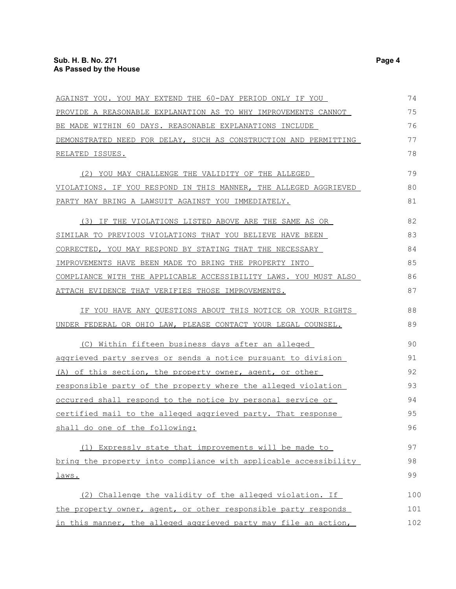| AGAINST YOU. YOU MAY EXTEND THE 60-DAY PERIOD ONLY IF YOU            | 74  |
|----------------------------------------------------------------------|-----|
| PROVIDE A REASONABLE EXPLANATION AS TO WHY IMPROVEMENTS CANNOT       | 75  |
| BE MADE WITHIN 60 DAYS. REASONABLE EXPLANATIONS INCLUDE              | 76  |
| DEMONSTRATED NEED FOR DELAY, SUCH AS CONSTRUCTION AND PERMITTING     | 77  |
| RELATED ISSUES.                                                      | 78  |
| (2) YOU MAY CHALLENGE THE VALIDITY OF THE ALLEGED                    | 79  |
| VIOLATIONS. IF YOU RESPOND IN THIS MANNER, THE ALLEGED AGGRIEVED     | 80  |
| PARTY MAY BRING A LAWSUIT AGAINST YOU IMMEDIATELY.                   | 81  |
| (3) IF THE VIOLATIONS LISTED ABOVE ARE THE SAME AS OR                | 82  |
| SIMILAR TO PREVIOUS VIOLATIONS THAT YOU BELIEVE HAVE BEEN            | 83  |
| CORRECTED, YOU MAY RESPOND BY STATING THAT THE NECESSARY             | 84  |
| IMPROVEMENTS HAVE BEEN MADE TO BRING THE PROPERTY INTO               | 85  |
| COMPLIANCE WITH THE APPLICABLE ACCESSIBILITY LAWS. YOU MUST ALSO     | 86  |
| ATTACH EVIDENCE THAT VERIFIES THOSE IMPROVEMENTS.                    | 87  |
| IF YOU HAVE ANY QUESTIONS ABOUT THIS NOTICE OR YOUR RIGHTS           | 88  |
| UNDER FEDERAL OR OHIO LAW, PLEASE CONTACT YOUR LEGAL COUNSEL.        | 89  |
| (C) Within fifteen business days after an alleged                    | 90  |
| aggrieved party serves or sends a notice pursuant to division        | 91  |
| (A) of this section, the property owner, agent, or other             | 92  |
| <u>responsible party of the property where the alleged violation</u> | 93  |
| occurred shall respond to the notice by personal service or          | 94  |
| certified mail to the alleged aggrieved party. That response         | 95  |
| shall do one of the following:                                       | 96  |
| (1) Expressly state that improvements will be made to                | 97  |
| bring the property into compliance with applicable accessibility     | 98  |
| <u>laws.</u>                                                         | 99  |
| (2) Challenge the validity of the alleged violation. If              | 100 |
| the property owner, agent, or other responsible party responds       | 101 |
| in this manner, the alleged aggrieved party may file an action,      | 102 |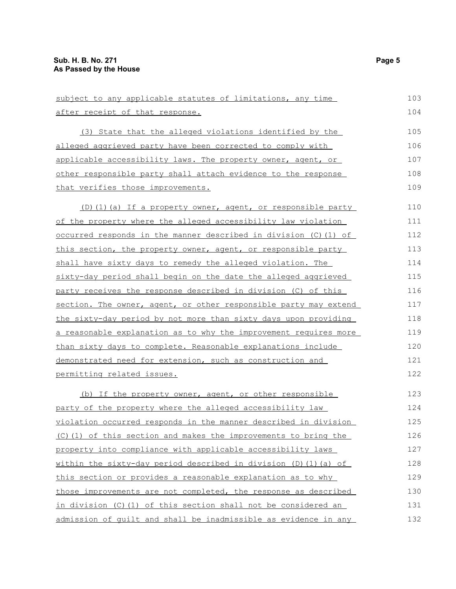| subject to any applicable statutes of limitations, any time              | 103 |
|--------------------------------------------------------------------------|-----|
| after receipt of that response.                                          | 104 |
| (3) State that the alleged violations identified by the                  | 105 |
| <u>alleged aggrieved party have been corrected to comply with </u>       | 106 |
| applicable accessibility laws. The property owner, agent, or             | 107 |
| <u>other responsible party shall attach evidence to the response</u>     | 108 |
| that verifies those improvements.                                        | 109 |
| (D)(1)(a) If a property owner, agent, or responsible party               | 110 |
| of the property where the alleged accessibility law violation            | 111 |
| <u>occurred responds in the manner described in division (C)(1) of</u>   | 112 |
| this section, the property owner, agent, or responsible party            | 113 |
| shall have sixty days to remedy the alleged violation. The               | 114 |
| <u>sixty-day period shall begin on the date the alleged aggrieved</u>    | 115 |
| <u>party receives the response described in division (C) of this </u>    | 116 |
| section. The owner, agent, or other responsible party may extend         | 117 |
| the sixty-day period by not more than sixty days upon providing          | 118 |
| <u>a reasonable explanation as to why the improvement requires more </u> | 119 |
| than sixty days to complete. Reasonable explanations include             | 120 |
| demonstrated need for extension, such as construction and                | 121 |
| <u>permitting related issues.</u>                                        | 122 |
| (b) If the property owner, agent, or other responsible                   | 123 |
| party of the property where the alleged accessibility law                | 124 |
| violation occurred responds in the manner described in division          | 125 |
| (C) (1) of this section and makes the improvements to bring the          | 126 |
| property into compliance with applicable accessibility laws              | 127 |
| within the sixty-day period described in division (D)(1)(a) of           | 128 |
| this section or provides a reasonable explanation as to why              | 129 |
| those improvements are not completed, the response as described          | 130 |
| in division (C) (1) of this section shall not be considered an           | 131 |
|                                                                          |     |

admission of guilt and shall be inadmissible as evidence in any 132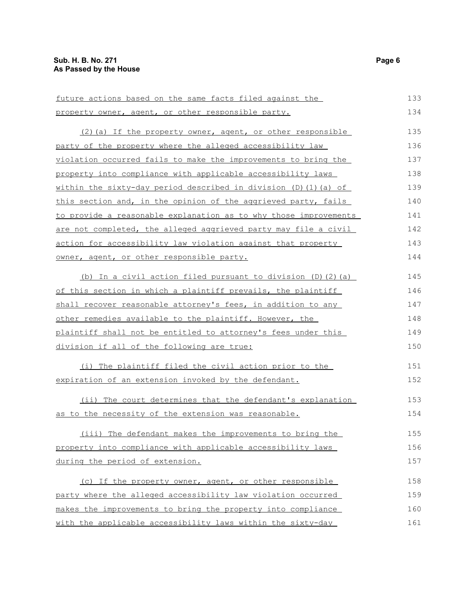| future actions based on the same facts filed against the               | 133 |
|------------------------------------------------------------------------|-----|
| property owner, agent, or other responsible party.                     | 134 |
| (2) (a) If the property owner, agent, or other responsible             | 135 |
| party of the property where the alleged accessibility law              | 136 |
| violation occurred fails to make the improvements to bring the         | 137 |
| property into compliance with applicable accessibility laws            | 138 |
| within the sixty-day period described in division $(D)$ $(1)$ $(a)$ of | 139 |
| this section and, in the opinion of the aggrieved party, fails         | 140 |
| to provide a reasonable explanation as to why those improvements       | 141 |
| are not completed, the alleged aggrieved party may file a civil        | 142 |
| action for accessibility law violation against that property           | 143 |
| owner, agent, or other responsible party.                              | 144 |
| (b) In a civil action filed pursuant to division (D) (2) (a)           | 145 |
| of this section in which a plaintiff prevails, the plaintiff           | 146 |
| shall recover reasonable attorney's fees, in addition to any           | 147 |
| other remedies available to the plaintiff. However, the                | 148 |
| plaintiff shall not be entitled to attorney's fees under this          | 149 |
| division if all of the following are true:                             | 150 |
| (i) The plaintiff filed the civil action prior to the                  | 151 |
| expiration of an extension invoked by the defendant.                   | 152 |
| (ii) The court determines that the defendant's explanation             | 153 |
| as to the necessity of the extension was reasonable.                   | 154 |
| (iii) The defendant makes the improvements to bring the                | 155 |
| property into compliance with applicable accessibility laws            | 156 |
| during the period of extension.                                        | 157 |
| (c) If the property owner, agent, or other responsible                 | 158 |
| party where the alleged accessibility law violation occurred           | 159 |
| makes the improvements to bring the property into compliance           | 160 |
| with the applicable accessibility laws within the sixty-day            | 161 |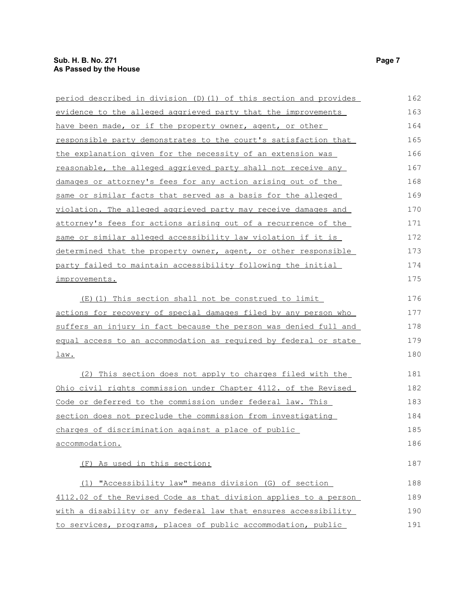| period described in division (D)(1) of this section and provides | 162 |
|------------------------------------------------------------------|-----|
| evidence to the alleged aggrieved party that the improvements    | 163 |
| have been made, or if the property owner, agent, or other        | 164 |
| responsible party demonstrates to the court's satisfaction that  | 165 |
| the explanation given for the necessity of an extension was      | 166 |
| reasonable, the alleged aggrieved party shall not receive any    | 167 |
| damages or attorney's fees for any action arising out of the     | 168 |
| same or similar facts that served as a basis for the alleged     | 169 |
| violation. The alleged aggrieved party may receive damages and   | 170 |
| attorney's fees for actions arising out of a recurrence of the   | 171 |
| same or similar alleged accessibility law violation if it is     | 172 |
| determined that the property owner, agent, or other responsible  | 173 |
| party failed to maintain accessibility following the initial     | 174 |
| improvements.                                                    | 175 |
| (E)(1) This section shall not be construed to limit              | 176 |
| actions for recovery of special damages filed by any person who  | 177 |
| suffers an injury in fact because the person was denied full and | 178 |
| equal access to an accommodation as required by federal or state | 179 |
| <u>law.</u>                                                      | 180 |
| (2) This section does not apply to charges filed with the        | 181 |
| Ohio civil rights commission under Chapter 4112. of the Revised  | 182 |
| Code or deferred to the commission under federal law. This       | 183 |
| section does not preclude the commission from investigating      | 184 |
| charges of discrimination against a place of public              | 185 |
| accommodation.                                                   | 186 |
| (F) As used in this section:                                     | 187 |
| (1) "Accessibility law" means division (G) of section            | 188 |
| 4112.02 of the Revised Code as that division applies to a person | 189 |
| with a disability or any federal law that ensures accessibility  | 190 |
| to services, programs, places of public accommodation, public    | 191 |